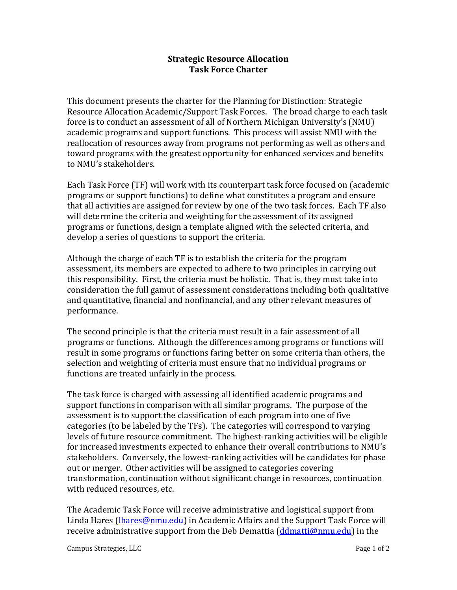## **Strategic Resource Allocation Task Force Charter**

This document presents the charter for the Planning for Distinction: Strategic Resource Allocation Academic/Support Task Forces. The broad charge to each task force is to conduct an assessment of all of Northern Michigan University's (NMU) academic programs and support functions. This process will assist NMU with the reallocation of resources away from programs not performing as well as others and toward programs with the greatest opportunity for enhanced services and benefits to NMU's stakeholders.

Each Task Force (TF) will work with its counterpart task force focused on (academic programs or support functions) to define what constitutes a program and ensure that all activities are assigned for review by one of the two task forces. Each TF also will determine the criteria and weighting for the assessment of its assigned programs or functions, design a template aligned with the selected criteria, and develop a series of questions to support the criteria.

Although the charge of each TF is to establish the criteria for the program assessment, its members are expected to adhere to two principles in carrying out this responsibility. First, the criteria must be holistic. That is, they must take into consideration the full gamut of assessment considerations including both qualitative and quantitative, financial and nonfinancial, and any other relevant measures of performance.

The second principle is that the criteria must result in a fair assessment of all programs or functions. Although the differences among programs or functions will result in some programs or functions faring better on some criteria than others, the selection and weighting of criteria must ensure that no individual programs or functions are treated unfairly in the process.

The task force is charged with assessing all identified academic programs and support functions in comparison with all similar programs. The purpose of the assessment is to support the classification of each program into one of five categories (to be labeled by the TFs). The categories will correspond to varying levels of future resource commitment. The highest-ranking activities will be eligible for increased investments expected to enhance their overall contributions to NMU's stakeholders. Conversely, the lowest-ranking activities will be candidates for phase out or merger. Other activities will be assigned to categories covering transformation, continuation without significant change in resources, continuation with reduced resources, etc.

The Academic Task Force will receive administrative and logistical support from Linda Hares (*lhares@nmu.edu*) in Academic Affairs and the Support Task Force will receive administrative support from the Deb Demattia [\(ddmatti@nmu.edu\)](mailto:ddmatti@nmu.edu) in the